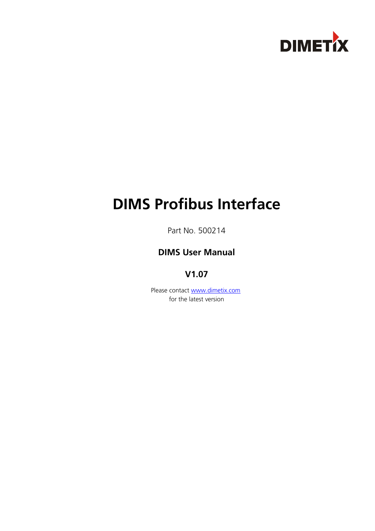

# **DIMS Profibus Interface**

Part No. 500214

# **DIMS User Manual**

# **V1.07**

Please contact [www.dimetix.com](http://www.dimetix.com/) for the latest version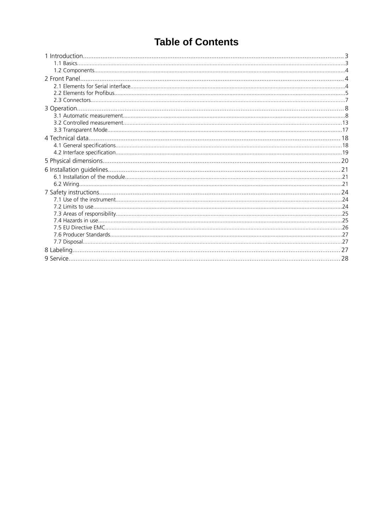# **Table of Contents**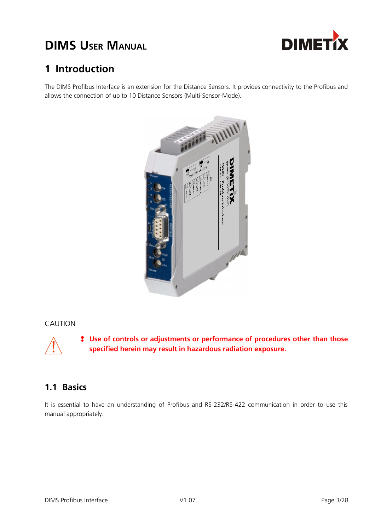



# **1 Introduction**

The DIMS Profibus Interface is an extension for the Distance Sensors. It provides connectivity to the Profibus and allows the connection of up to 10 Distance Sensors (Multi-Sensor-Mode).



### CAUTION



❢ **Use of controls or adjustments or performance of procedures other than those specified herein may result in hazardous radiation exposure.**

# **1.1 Basics**

It is essential to have an understanding of Profibus and RS-232/RS-422 communication in order to use this manual appropriately.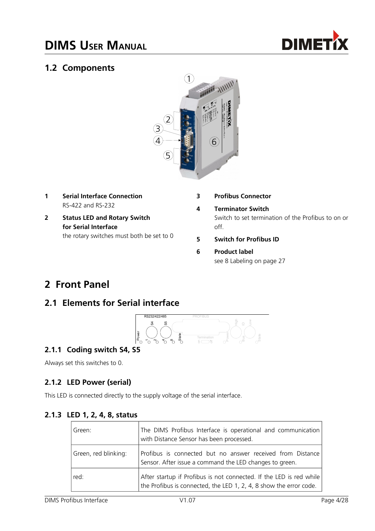

# **1.2 Components**



- **1 Serial Interface Connection** RS-422 and RS-232
- **2 Status LED and Rotary Switch for Serial Interface** the rotary switches must both be set to 0
- **3 Profibus Connector**
- **4 Terminator Switch** Switch to set termination of the Profibus to on or off.
- **5 Switch for Profibus ID**
- **6 Product label** see [8](#page-26-0) [Labeling](#page-26-0) on page [27](#page-26-0)

# **2 Front Panel**

# **2.1 Elements for Serial interface**



## **2.1.1 Coding switch S4, S5**

Always set this switches to 0.

## **2.1.2 LED Power (serial)**

This LED is connected directly to the supply voltage of the serial interface.

## **2.1.3 LED 1, 2, 4, 8, status**

| l Green:             | The DIMS Profibus Interface is operational and communication<br>with Distance Sensor has been processed.                                  |
|----------------------|-------------------------------------------------------------------------------------------------------------------------------------------|
| Green, red blinking: | Profibus is connected but no answer received from Distance<br>Sensor. After issue a command the LED changes to green.                     |
| red:                 | After startup if Profibus is not connected. If the LED is red while<br>the Profibus is connected, the LED 1, 2, 4, 8 show the error code. |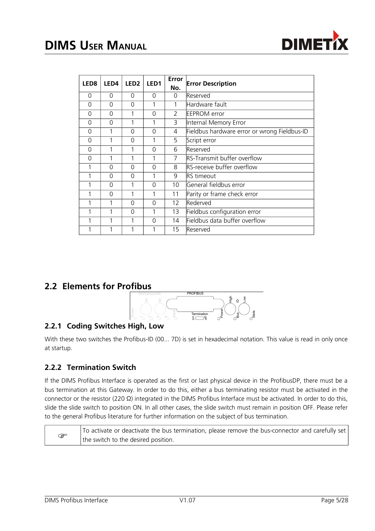

| LED <sub>8</sub> | LED <sub>4</sub> | LED <sub>2</sub> | LED1     | Error<br>No.  | <b>Error Description</b>                     |
|------------------|------------------|------------------|----------|---------------|----------------------------------------------|
| $\Omega$         | $\Omega$         | $\Omega$         | 0        | $\Omega$      | Reserved                                     |
| $\Omega$         | $\Omega$         | $\Omega$         | 1        | 1             | Hardware fault                               |
| $\Omega$         | $\Omega$         | 1                | 0        | $\mathcal{P}$ | <b>EEPROM</b> error                          |
| $\Omega$         | $\Omega$         | 1                | 1        | 3             | Internal Memory Error                        |
| $\Omega$         | 1                | $\Omega$         | 0        | 4             | Fieldbus hardware error or wrong Fieldbus-ID |
| $\Omega$         | 1                | 0                | 1        | 5             | Script error                                 |
| $\Omega$         | 1                | 1                | $\Omega$ | 6             | Reserved                                     |
| $\Omega$         |                  |                  | 1        | 7             | RS-Transmit buffer overflow                  |
|                  | $\Omega$         | $\Omega$         | $\Omega$ | 8             | RS-receive buffer overflow                   |
|                  | 0                | $\Omega$         |          | 9             | <b>RS</b> timeout                            |
|                  | $\Omega$         | 1                | $\Omega$ | 10            | General fieldbus error                       |
|                  | $\Omega$         | 1                | 1        | 11            | Parity or frame check error                  |
|                  | 1                | $\Omega$         | $\Omega$ | 12            | Rederved                                     |
|                  | 1                | 0                | 1        | 13            | Fieldbus configuration error                 |
|                  | 1                | 1                | 0        | 14            | Fieldbus data buffer overflow                |
|                  |                  | 1                | 1        | 15            | Reserved                                     |

## **2.2 Elements for Profibus**



# **2.2.1 Coding Switches High, Low**

With these two switches the Profibus-ID (00... 7D) is set in hexadecimal notation. This value is read in only once at startup.

## **2.2.2 Termination Switch**

If the DIMS Profibus Interface is operated as the first or last physical device in the ProfibusDP, there must be a bus termination at this Gateway. In order to do this, either a bus terminating resistor must be activated in the connector or the resistor (220 Ω) integrated in the DIMS Profibus Interface must be activated. In order to do this, slide the slide switch to position ON. In all other cases, the slide switch must remain in position OFF. Please refer to the general Profibus literature for further information on the subject of bus termination.

 $\mathbb{F}$ To activate or deactivate the bus termination, please remove the bus-connector and carefully set the switch to the desired position.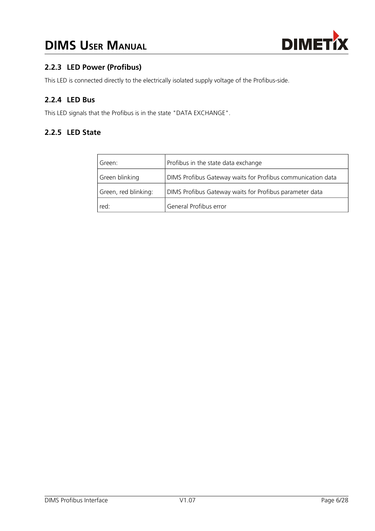

## **2.2.3 LED Power (Profibus)**

This LED is connected directly to the electrically isolated supply voltage of the Profibus-side.

## **2.2.4 LED Bus**

This LED signals that the Profibus is in the state "DATA EXCHANGE".

## **2.2.5 LED State**

| l Green:             | Profibus in the state data exchange                         |
|----------------------|-------------------------------------------------------------|
| Green blinking       | DIMS Profibus Gateway waits for Profibus communication data |
| Green, red blinking: | DIMS Profibus Gateway waits for Profibus parameter data     |
| red:                 | General Profibus error                                      |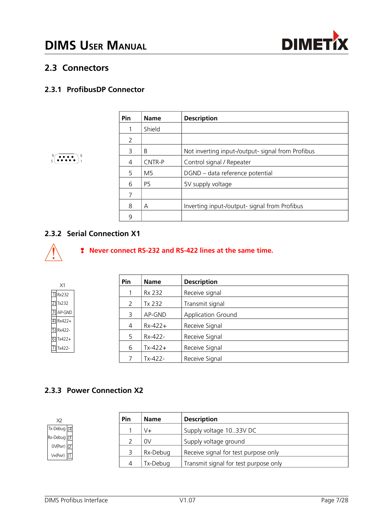

# **2.3 Connectors**

 $\left($  ee e  $\right)$   $\frac{6}{3}$ 

## **2.3.1 ProfibusDP Connector**

| Pin | <b>Name</b>    | <b>Description</b>                                |
|-----|----------------|---------------------------------------------------|
|     | Shield         |                                                   |
| 2   |                |                                                   |
| 3   | B              | Not inverting input-/output- signal from Profibus |
| 4   | CNTR-P         | Control signal / Repeater                         |
| .5  | M <sub>5</sub> | DGND - data reference potential                   |
| 6   | P5             | 5V supply voltage                                 |
| 7   |                |                                                   |
| 8   | A              | Inverting input-/output- signal from Profibus     |
| 9   |                |                                                   |

## **2.3.2 Serial Connection X1**



### ❢ **Never connect RS-232 and RS-422 lines at the same time.**

| X1                    | Pin            | <b>Name</b> | <b>Description</b>        |
|-----------------------|----------------|-------------|---------------------------|
| $\boxed{1}$ Rx232     |                | Rx 232      | Receive signal            |
| $\boxed{2}$ Tx232     | 2              | Tx 232      | Transmit signal           |
| $3$ AP-GND            | 3              | AP-GND      | <b>Application Ground</b> |
| $\boxed{4}$ Rx422+    | $\overline{4}$ | $Rx-422+$   | Receive Signal            |
| $5$ Rx422-            | 5              | Rx-422-     |                           |
| $\boxed{6}$ Tx422+    |                |             | Receive Signal            |
| $\overline{7}$ Tx422- | 6              | $Tx-422+$   | Receive Signal            |
|                       |                | Tx-422-     | Receive Signal            |

## **2.3.3 Power Connection X2**



| Pin | <b>Description</b><br><b>Name</b> |                                       |  |  |  |  |  |  |  |
|-----|-----------------------------------|---------------------------------------|--|--|--|--|--|--|--|
|     | V+                                | Supply voltage 1033V DC               |  |  |  |  |  |  |  |
|     | 0V                                | Supply voltage ground                 |  |  |  |  |  |  |  |
|     | Rx-Debug                          | Receive signal for test purpose only  |  |  |  |  |  |  |  |
|     | Tx-Debug                          | Transmit signal for test purpose only |  |  |  |  |  |  |  |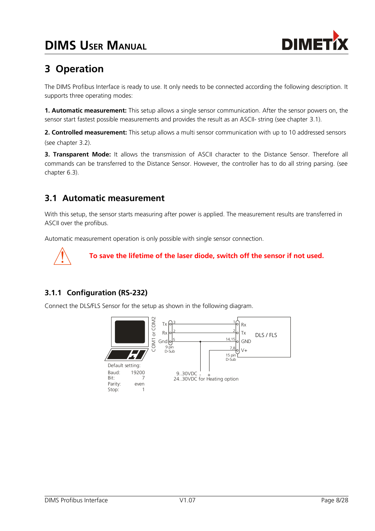

# **3 Operation**

The DIMS Profibus Interface is ready to use. It only needs to be connected according the following description. It supports three operating modes:

**1. Automatic measurement:** This setup allows a single sensor communication. After the sensor powers on, the sensor start fastest possible measurements and provides the result as an ASCII- string (see chapter [3.1\)](#page-7-0).

**2. Controlled measurement:** This setup allows a multi sensor communication with up to 10 addressed sensors (see chapter [3.2\)](#page-12-0).

**3. Transparent Mode:** It allows the transmission of ASCII character to the Distance Sensor. Therefore all commands can be transferred to the Distance Sensor. However, the controller has to do all string parsing. (see chapter 6.3).

# <span id="page-7-0"></span>**3.1 Automatic measurement**

With this setup, the sensor starts measuring after power is applied. The measurement results are transferred in ASCII over the profibus.

Automatic measurement operation is only possible with single sensor connection.



**To save the lifetime of the laser diode, switch off the sensor if not used.**

## **3.1.1 Configuration (RS-232)**

Connect the DLS/FLS Sensor for the setup as shown in the following diagram.

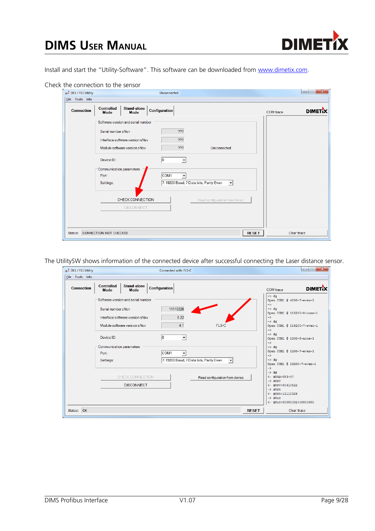

Install and start the "Utility-Software". This software can be downloaded from [www.dimetix.com.](http://www.dimetix.com/)

| DLS / FLS Utility<br>File Tools Info |                                        |                                                                 | Unconnected          |                                                                     |                                |                  | $\mathbf{x}$<br>ie.<br>$\Box$ |
|--------------------------------------|----------------------------------------|-----------------------------------------------------------------|----------------------|---------------------------------------------------------------------|--------------------------------|------------------|-------------------------------|
| <b>Connection</b>                    | <b>Controlled</b><br><b>Mode</b>       | Stand-alone<br>Mode                                             | <b>Configuration</b> |                                                                     |                                | <b>COM</b> trace | <b>DIMETA</b>                 |
|                                      | Serial number sNsn                     | Software version and serial number                              |                      | 222                                                                 |                                |                  |                               |
|                                      |                                        | Interface software version sNsv<br>Module software version sNsv |                      | 222<br>???                                                          | Unconnected                    |                  |                               |
|                                      | Device ID:<br>Communication parameters |                                                                 | 10                   | $\overline{\phantom{a}}$                                            |                                |                  |                               |
|                                      | Port:<br>Settings:                     |                                                                 | COM <sub>1</sub>     | $\overline{\phantom{a}}$<br>7: 19200 Baud, 7 Data bits, Parity Even | $\vert \cdot \vert$            |                  |                               |
|                                      |                                        | CHECK CONNECTION<br>DISCONNECT                                  |                      |                                                                     | Read configuration from device |                  |                               |
|                                      |                                        |                                                                 |                      |                                                                     |                                |                  |                               |

The UtilitySW shows information of the connected device after successful connecting the Laser distance sensor.

antina and an

سيست

| <b>Connection</b> | <b>Controlled</b><br>Mode                                                          | Stand-alone<br>Mode                                                                                   | Configuration                                                                                                                 |                     | COM trace                                                                                                                                                                                                                                                                                                                                                                                                     | <b>DIMET<sub>I</sub>X</b> |
|-------------------|------------------------------------------------------------------------------------|-------------------------------------------------------------------------------------------------------|-------------------------------------------------------------------------------------------------------------------------------|---------------------|---------------------------------------------------------------------------------------------------------------------------------------------------------------------------------------------------------------------------------------------------------------------------------------------------------------------------------------------------------------------------------------------------------------|---------------------------|
|                   | Serial number sNsn<br>Device ID:<br>Communication parameters<br>Port:<br>Settings: | Software version and serial number<br>Interface software version sNsv<br>Module software version sNsv | 11110326<br>5.22<br>4.1<br>FLS-C<br>10<br>COM <sub>1</sub><br>$\blacktriangledown$<br>7: 19200 Baud, 7 Data bits, Parity Even | $\vert \cdot \vert$ | $\rightarrow$ da<br>Open COM1 @ 4800-7-even-1<br>$\rightarrow$<br>$\rightarrow$ dq<br>Open COM1 @ 115200-8-none-1<br>$\rightarrow$<br>$\rightarrow$ dq<br>Open COM1 @ 115200-7-even-1<br>$\rightarrow$<br>$\rightarrow$ dg<br>Open COM1 @ 1200-8-none-1<br>$\rightarrow$<br>$\rightarrow$ da<br>Open COM1 @ 1200-7-even-1<br>$\rightarrow$<br>$\rightarrow$ da<br>Open COM1 @ 19200-7-even-1<br>$\rightarrow$ |                           |
|                   |                                                                                    | CHECK CONNECTION<br><b>DISCONNECT</b>                                                                 | Read configuration from device                                                                                                |                     | $\rightarrow$ dg<br>$<-$ g0dg+083+47<br>$\rightarrow$ s0sv<br><- g0sv+00410522<br>$\rightarrow$ s0sn<br>$<-$ q0sn+11110326<br>$\rightarrow$ s0uc<br><- g0uc+00000002+00000000                                                                                                                                                                                                                                 |                           |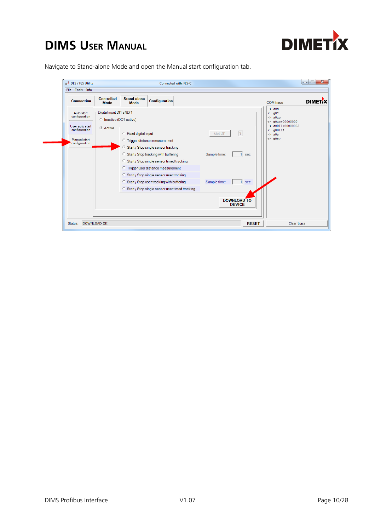

# **DIMS USER MANUAL**

Navigate to Stand-alone Mode and open the Manual start configuration tab.

| <b>Connection</b> | <b>Controlled</b><br><b>Mode</b> | Stand-alone<br><b>Mode</b> | <b>Configuration</b>                             |                                     | <b>DIMETA</b><br><b>COM</b> trace            |
|-------------------|----------------------------------|----------------------------|--------------------------------------------------|-------------------------------------|----------------------------------------------|
| Auto start        | Digital input DI1 sNDI1          |                            |                                                  |                                     | $\rightarrow$ $\beta$ Oc<br>$\leftarrow$ q0? |
| configuration     | C Inactive (DO1 active)          |                            |                                                  |                                     | $\rightarrow$ s0uo<br>$<-$ a0uo+00000000     |
| User auto start   | C Active                         |                            |                                                  |                                     | $-$ > $s0DI1+00000003$                       |
| configuration     |                                  | Read digital input         |                                                  | $\sqrt{2}$<br>Get DI1               | $\leftarrow$ q0DI1?<br>$->$ $30s$            |
| Manual start      |                                  |                            | <b>C</b> Trigger distance measurement            |                                     | $\leftarrow$ q0s?                            |
| configuration     |                                  |                            | 6 Start / Stop single sensor tracking            |                                     |                                              |
|                   |                                  |                            | C Start / Stop tracking with buffering           | Sample time:<br>sec                 |                                              |
|                   |                                  |                            | C Start / Stop single sensor timed tracking      |                                     |                                              |
|                   |                                  |                            | <b>C</b> Trigger user distance measurement       |                                     |                                              |
|                   |                                  |                            | C Start / Stop single sensor user tracking       |                                     |                                              |
|                   |                                  |                            | Start / Stop user tracking with buffering        | Sample time:<br>sec                 |                                              |
|                   |                                  |                            | C Start / Stop single sensor user timed tracking |                                     |                                              |
|                   |                                  |                            |                                                  | <b>DOWNLOAD TO</b><br><b>DEVICE</b> |                                              |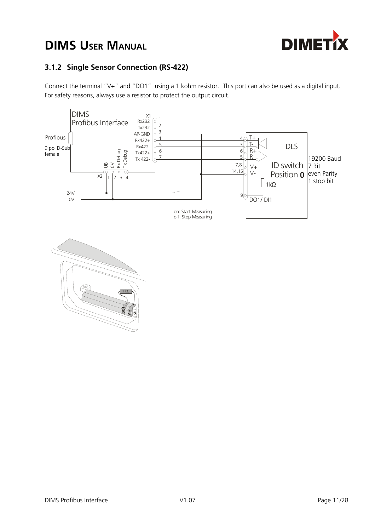



## **3.1.2 Single Sensor Connection (RS-422)**

Connect the terminal "V+" and "DO1" using a 1 kohm resistor. This port can also be used as a digital input. For safety reasons, always use a resistor to protect the output circuit.

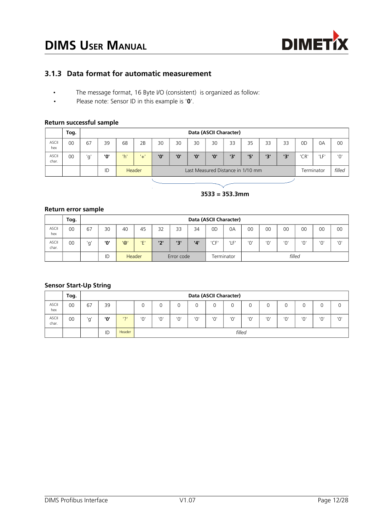

### **3.1.3 Data format for automatic measurement**

- The message format, 16 Byte I/O (consistent) is organized as follow:
- Please note: Sensor ID in this example is '**0**'.

#### **Return successful sample**

|                | Tog. |     | Data (ASCII Character) |     |        |                                   |     |     |     |     |     |     |     |            |        |     |
|----------------|------|-----|------------------------|-----|--------|-----------------------------------|-----|-----|-----|-----|-----|-----|-----|------------|--------|-----|
| ASCII<br>hex   | 00   | 67  | 39                     | 68  | 2B     | 30                                | 30  | 30  | 30  | 33  | 35  | 33  | 33  | 0D         | 0A     | 00  |
| ASCII<br>char. | 00   | 'a' | '0'                    | 'h' | '+'    | '0'                               | '0' | יחי | '0' | יצי | '5' | יכי | יצי | 'CR'       | 'LF'   | '0' |
|                |      |     | ID                     |     | Header | Last Measured Distance in 1/10 mm |     |     |     |     |     |     |     | Terminator | filled |     |

#### **3533 = 353.3mm**

#### **Return error sample**

|                       | Tog. |    | Data (ASCII Character) |                |               |            |     |                       |      |      |     |     |     |     |     |     |
|-----------------------|------|----|------------------------|----------------|---------------|------------|-----|-----------------------|------|------|-----|-----|-----|-----|-----|-----|
| <b>ASCII</b><br>hex   | 00   | 67 | 30                     | 40             | 45            | 32         | 33  | 34                    | 0D   | 0A   | 00  | 00  | 00  | 00  | 00  | 00  |
| <b>ASCII</b><br>char. | 00   | ď, | '0'                    | $\overline{Q}$ | 'E'           | '2'        | יבי | $^{\prime}4^{\prime}$ | 'CF' | 'LF' | 'O' | יחי | '0' | 'O' | '0' | '0' |
|                       |      |    | ID                     |                | <b>Header</b> | Error code |     | filled<br>Terminator  |      |      |     |     |     |     |     |     |

#### **Sensor Start-Up String**

|                | Tog. |     | Data (ASCII Character) |        |     |        |     |     |     |     |     |            |     |     |     |     |
|----------------|------|-----|------------------------|--------|-----|--------|-----|-----|-----|-----|-----|------------|-----|-----|-----|-----|
| ASCII<br>hex   | 00   | 67  | 39                     |        | 0   |        |     |     |     | 0   | O   |            |     |     | O   |     |
| ASCII<br>char. | 00   | 'α' | '0'                    | 121    | '0' | '0'    | יחי | '0' | יחי | 'O' | 'O' | $\sqrt{2}$ | יחי | '0' | '0' | 'O' |
|                |      |     | ID                     | Header |     | filled |     |     |     |     |     |            |     |     |     |     |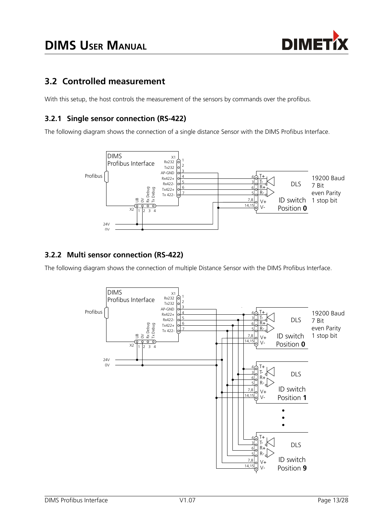

# <span id="page-12-0"></span>**3.2 Controlled measurement**

With this setup, the host controls the measurement of the sensors by commands over the profibus.

## **3.2.1 Single sensor connection (RS-422)**

The following diagram shows the connection of a single distance Sensor with the DIMS Profibus Interface.



## **3.2.2 Multi sensor connection (RS-422)**

The following diagram shows the connection of multiple Distance Sensor with the DIMS Profibus Interface.

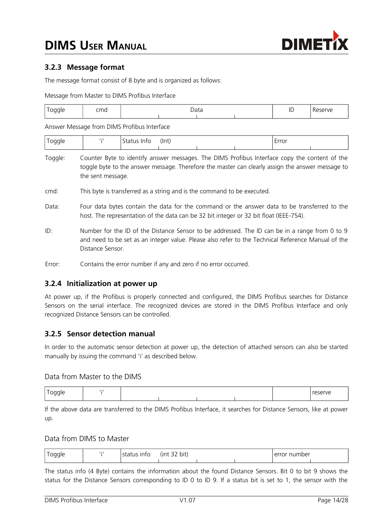

## **3.2.3 Message format**

The message format consist of 8 byte and is organized as follows:

Message from Master to DIMS Profibus Interface

| 11 H<br><u>_</u> | cmd | הנ<br><b>D</b> utu |  |  |  | חו<br>ᄔ | 2011C |
|------------------|-----|--------------------|--|--|--|---------|-------|
|                  |     |                    |  |  |  |         |       |

Answer Message from DIMS Profibus Interface

| าเ⊢<br><u>_</u> | . | . .<br>ШU<br>∼ ו | (Int) |  | rror<br>-<br>ᄓᄓ |  |
|-----------------|---|------------------|-------|--|-----------------|--|
|                 |   |                  |       |  |                 |  |

Toggle: Counter Byte to identify answer messages. The DIMS Profibus Interface copy the content of the toggle byte to the answer message. Therefore the master can clearly assign the answer message to the sent message.

- cmd: This byte is transferred as a string and is the command to be executed.
- Data: Four data bytes contain the data for the command or the answer data to be transferred to the host. The representation of the data can be 32 bit integer or 32 bit float (IEEE-754).
- ID: Number for the ID of the Distance Sensor to be addressed. The ID can be in a range from 0 to 9 and need to be set as an integer value. Please also refer to the Technical Reference Manual of the Distance Sensor.
- Error: Contains the error number if any and zero if no error occurred.

### **3.2.4 Initialization at power up**

At power up, if the Profibus is properly connected and configured, the DIMS Profibus searches for Distance Sensors on the serial interface. The recognized devices are stored in the DIMS Profibus Interface and only recognized Distance Sensors can be controlled.

#### **3.2.5 Sensor detection manual**

In order to the automatic sensor detection at power up, the detection of attached sensors can also be started manually by issuing the command 'i' as described below.

#### Data from Master to the DIMS

| _<br>ำเ⊢<br>__ | . . |  |  | reserve |
|----------------|-----|--|--|---------|
|                |     |  |  |         |

If the above data are transferred to the DIMS Profibus Interface, it searches for Distance Sensors, like at power up.

#### <span id="page-13-0"></span>Data from DIMS to Master

| coaale<br><u>. .</u> | status info | $\sim$ $\sim$<br>(int<br>bit)<br>ےر |  | number<br>.<br>error |  |
|----------------------|-------------|-------------------------------------|--|----------------------|--|
|                      |             |                                     |  |                      |  |

The status info (4 Byte) contains the information about the found Distance Sensors. Bit 0 to bit 9 shows the status for the Distance Sensors corresponding to ID 0 to ID 9. If a status bit is set to 1, the sensor with the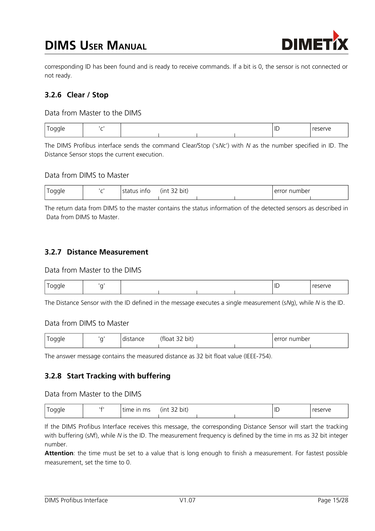# **DIMS USER MANUAL**



corresponding ID has been found and is ready to receive commands. If a bit is 0, the sensor is not connected or not ready.

## **3.2.6 Clear / Stop**

#### Data from Master to the DIMS

| __ |  |  | ID | ANIF |
|----|--|--|----|------|
|    |  |  |    |      |

The DIMS Profibus interface sends the command Clear/Stop ('s*N*c') with *N* as the number specified in ID. The Distance Sensor stops the current execution.

#### Data from DIMS to Master

| $\overline{\phantom{0}}$<br>Togale<br>- - | $\overline{\phantom{a}}$ | us IIIIU | $ -$<br>lint)<br>bit.<br>ັ |  | number<br>∩rr<br>$\mathbf{U}$<br>◡ |  |
|-------------------------------------------|--------------------------|----------|----------------------------|--|------------------------------------|--|
|                                           |                          |          |                            |  |                                    |  |

The return data from DIMS to the master contains the status information of the detected sensors as described in [Data from DIMS to Master.](#page-13-0)

### **3.2.7 Distance Measurement**

#### Data from Master to the DIMS

| -- | _ |  |  | <br>$\overline{\phantom{a}}$<br>$\mathcal{U}^{\prime}$ |
|----|---|--|--|--------------------------------------------------------|
|    |   |  |  |                                                        |

The Distance Sensor with the ID defined in the message executes a single measurement (s*N*g), while *N* is the ID.

#### Data from DIMS to Master

| oggle<br>-- | distance | $\sim$ $\sim$<br>'float'<br>bit)<br>JZ. |  | <sup>.</sup> number<br>- ----<br>⊥err∙<br>ำเ |  |
|-------------|----------|-----------------------------------------|--|----------------------------------------------|--|
|             |          |                                         |  |                                              |  |

The answer message contains the measured distance as 32 bit float value (IEEE-754).

#### **3.2.8 Start Tracking with buffering**

#### Data from Master to the DIMS

| Toggle<br><u>. .</u> | ۱£۱ | In <sub>m</sub><br>$\overline{\phantom{0}}$<br>time | $\sim$ $\sim$<br>.<br>unt)<br>32 bit) |  |  | ID | reserve |
|----------------------|-----|-----------------------------------------------------|---------------------------------------|--|--|----|---------|
|----------------------|-----|-----------------------------------------------------|---------------------------------------|--|--|----|---------|

If the DIMS Profibus Interface receives this message, the corresponding Distance Sensor will start the tracking with buffering (s*N*f), while *N* is the ID. The measurement frequency is defined by the time in ms as 32 bit integer number.

**Attention**: the time must be set to a value that is long enough to finish a measurement. For fastest possible measurement, set the time to 0.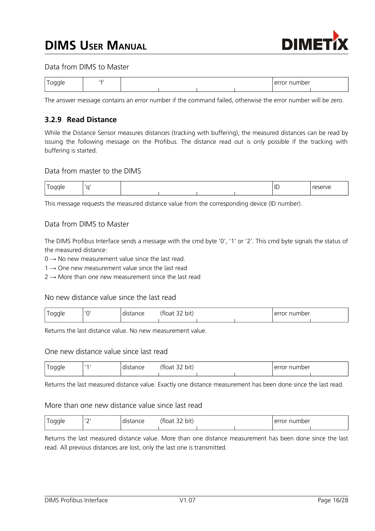# **DIMS USER MANUAL**



#### Data from DIMS to Master

| -- | ۱£ |  |  | $\sim$<br><u>imber</u><br>$\triangle$ rr $\triangle$ r<br>Λľ |  |
|----|----|--|--|--------------------------------------------------------------|--|
|    |    |  |  |                                                              |  |

The answer message contains an error number if the command failed, otherwise the error number will be zero.

### **3.2.9 Read Distance**

While the Distance Sensor measures distances (tracking with buffering), the measured distances can be read by issuing the following message on the Profibus. The distance read out is only possible if the tracking with buffering is started.

#### Data from master to the DIMS

|  |  |  | ID | 5.0110<br>$\sim$ |
|--|--|--|----|------------------|
|  |  |  |    |                  |

This message requests the measured distance value from the corresponding device (ID number).

#### Data from DIMS to Master

The DIMS Profibus Interface sends a message with the cmd byte '0', '1' or '2'. This cmd byte signals the status of the measured distance:

 $0 \rightarrow$  No new measurement value since the last read.

 $1 \rightarrow$  One new measurement value since the last read

 $2 \rightarrow$  More than one new measurement since the last read

#### No new distance value since the last read

| pagle<br>- - | $\sqrt{2}$<br>Ē | $\sim$ $\sim$ $\sim$<br>tarice | $\sim$ $\sim$<br>bit)<br>$-10-1$<br>поа<br>ےر |  | ้านmber<br>۰ ت |  |
|--------------|-----------------|--------------------------------|-----------------------------------------------|--|----------------|--|
|              |                 |                                |                                               |  |                |  |

Returns the last distance value. No new measurement value.

#### One new distance value since last read

| 100 <sup>o</sup><br>-- | $\overline{14}$ | $- - -$ | $\mathbf{r}$<br>$\sim$ $\sim$<br>bit<br>'tioa. |  | number<br>. |  |
|------------------------|-----------------|---------|------------------------------------------------|--|-------------|--|
|                        |                 |         |                                                |  |             |  |

Returns the last measured distance value. Exactly one distance measurement has been done since the last read.

#### More than one new distance value since last read

| <u>т</u><br>Toggle<br>- - | $\sim$<br><u>_</u> | distance | $\mathbf{r}$<br>$\sim$ $\sim$<br>bit)<br>tloat)<br>эz |  | or number <sup>.</sup> |  |
|---------------------------|--------------------|----------|-------------------------------------------------------|--|------------------------|--|
|                           |                    |          |                                                       |  |                        |  |

Returns the last measured distance value. More than one distance measurement has been done since the last read. All previous distances are lost, only the last one is transmitted.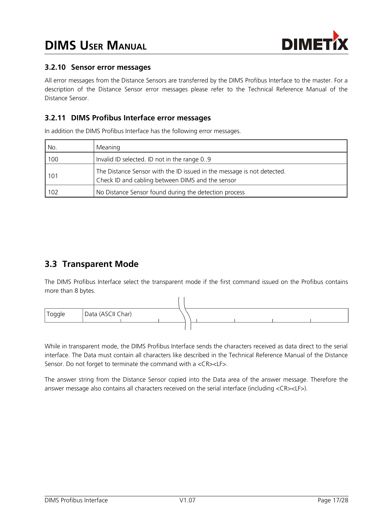

## **3.2.10 Sensor error messages**

All error messages from the Distance Sensors are transferred by the DIMS Profibus Interface to the master. For a description of the Distance Sensor error messages please refer to the Technical Reference Manual of the Distance Sensor.

## **3.2.11 DIMS Profibus Interface error messages**

In addition the DIMS Profibus Interface has the following error messages.

| No.   | Meaning                                                                                                                    |
|-------|----------------------------------------------------------------------------------------------------------------------------|
| 100   | Invalid ID selected. ID not in the range 0.9                                                                               |
| l 101 | The Distance Sensor with the ID issued in the message is not detected.<br>Check ID and cabling between DIMS and the sensor |
| 102   | No Distance Sensor found during the detection process                                                                      |

# **3.3 Transparent Mode**

The DIMS Profibus Interface select the transparent mode if the first command issued on the Profibus contains more than 8 bytes.



While in transparent mode, the DIMS Profibus Interface sends the characters received as data direct to the serial interface. The Data must contain all characters like described in the Technical Reference Manual of the Distance Sensor. Do not forget to terminate the command with a <CR><LF>.

The answer string from the Distance Sensor copied into the Data area of the answer message. Therefore the answer message also contains all characters received on the serial interface (including <CR><LF>).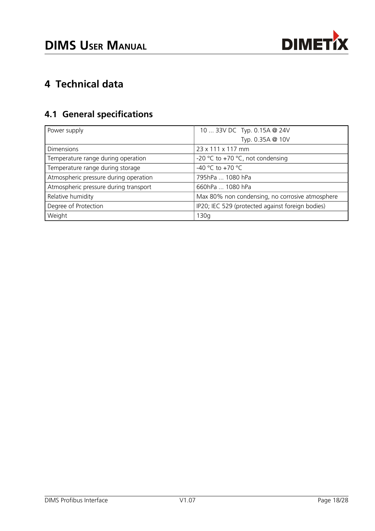

# **4 Technical data**

# **4.1 General specifications**

| Power supply                          | 10  33V DC Typ. 0.15A @ 24V                      |  |  |
|---------------------------------------|--------------------------------------------------|--|--|
|                                       | Typ. 0.35A @ 10V                                 |  |  |
| <b>Dimensions</b>                     | 23 x 111 x 117 mm                                |  |  |
| Temperature range during operation    | -20 °C to +70 °C, not condensing                 |  |  |
| Temperature range during storage      | -40 °C to +70 °C                                 |  |  |
| Atmospheric pressure during operation | 795hPa  1080 hPa                                 |  |  |
| Atmospheric pressure during transport | 660hPa  1080 hPa                                 |  |  |
| Relative humidity                     | Max 80% non condensing, no corrosive atmosphere  |  |  |
| Degree of Protection                  | IP20; IEC 529 (protected against foreign bodies) |  |  |
| Weight                                | 130q                                             |  |  |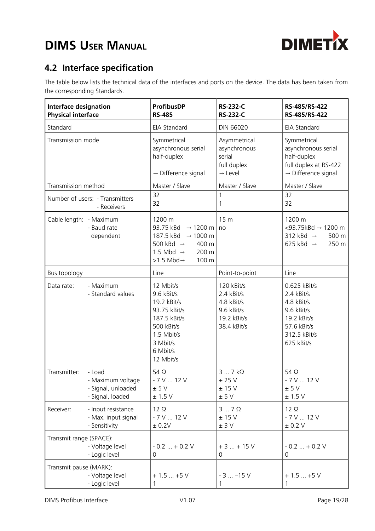

# **4.2 Interface specification**

The table below lists the technical data of the interfaces and ports on the device. The data has been taken from the corresponding Standards.

| <b>Interface designation</b><br><b>Physical interface</b>                             | <b>ProfibusDP</b><br><b>RS-485</b>                                                                                                                                         | <b>RS-232-C</b><br><b>RS-232-C</b>                                                 | RS-485/RS-422<br>RS-485/RS-422                                                                                     |
|---------------------------------------------------------------------------------------|----------------------------------------------------------------------------------------------------------------------------------------------------------------------------|------------------------------------------------------------------------------------|--------------------------------------------------------------------------------------------------------------------|
| Standard                                                                              | EIA Standard                                                                                                                                                               | DIN 66020                                                                          | EIA Standard                                                                                                       |
| Transmission mode                                                                     | Symmetrical<br>asynchronous serial<br>half-duplex<br>$\rightarrow$ Difference signal                                                                                       | Asymmetrical<br>asynchronous<br>serial<br>full duplex<br>$\rightarrow$ Level       | Symmetrical<br>asynchronous serial<br>half-duplex<br>full duplex at RS-422<br>$\rightarrow$ Difference signal      |
| Transmission method                                                                   | Master / Slave                                                                                                                                                             | Master / Slave                                                                     | Master / Slave                                                                                                     |
| Number of users: - Transmitters<br>- Receivers                                        | 32<br>32                                                                                                                                                                   | 1<br>$\mathbf 1$                                                                   | 32<br>32                                                                                                           |
| Cable length: - Maximum<br>- Baud rate<br>dependent                                   | 1200 m<br>93.75 kBd<br>$\rightarrow$ 1200 m<br>187.5 kBd → 1000 m<br>500 kBd $\rightarrow$<br>400 m<br>1.5 Mbd $\rightarrow$<br>200 m<br>$>1.5$ Mbd $\rightarrow$<br>100 m | 15 <sub>m</sub><br>no                                                              | 1200 m<br><93.75kBd → 1200 m<br>312 kBd $\rightarrow$<br>500 m<br>250 m<br>625 kBd $\rightarrow$                   |
| Bus topology                                                                          | Line                                                                                                                                                                       | Point-to-point                                                                     | Line                                                                                                               |
| - Maximum<br>Data rate:<br>- Standard values                                          | 12 Mbit/s<br>9.6 kBit/s<br>19.2 kBit/s<br>93.75 kBit/s<br>187.5 kBit/s<br>500 kBit/s<br>1.5 Mbit/s<br>3 Mbit/s<br>6 Mbit/s<br>12 Mbit/s                                    | 120 kBit/s<br>2.4 kBit/s<br>4.8 kBit/s<br>9.6 kBit/s<br>19.2 kBit/s<br>38.4 kBit/s | 0.625 kBit/s<br>2.4 kBit/s<br>4.8 kBit/s<br>9.6 kBit/s<br>19.2 kBit/s<br>57.6 kBit/s<br>312.5 kBit/s<br>625 kBit/s |
| Transmitter:<br>- Load<br>- Maximum voltage<br>- Signal, unloaded<br>- Signal, loaded | 54 $\Omega$<br>$-7$ V $$ 12 V<br>± 5 V<br>± 1.5 V                                                                                                                          | $37k\Omega$<br>$\pm$ 25 V<br>$\pm$ 15 V<br>± 5 V                                   | 54 $\Omega$<br>$-7$ V $$ 12 V<br>± 5 V<br>± 1.5 V                                                                  |
| Receiver:<br>- Input resistance<br>- Max. input signal<br>- Sensitivity               | $12 \Omega$<br>$-7$ V $$ 12 V<br>$\pm$ 0.2V                                                                                                                                | $37$ $\Omega$<br>± 15 V<br>± 3 V                                                   | $12 \Omega$<br>$-7$ V $$ 12 V<br>± 0.2 V                                                                           |
| Transmit range (SPACE):<br>- Voltage level<br>- Logic level                           | $-0.2+0.2$ V<br>0                                                                                                                                                          | $+3+15V$<br>0                                                                      | $-0.2+0.2$ V<br>0                                                                                                  |
| Transmit pause (MARK):<br>- Voltage level<br>- Logic level                            | $+1.5+5V$<br>1                                                                                                                                                             | $-3$ $-15$ V<br>1                                                                  | $+1.5+5V$<br>1                                                                                                     |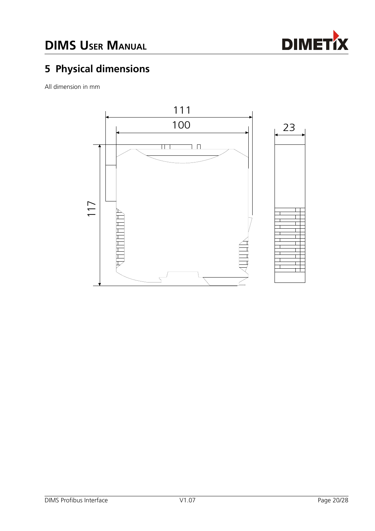

# **5 Physical dimensions**

All dimension in mm

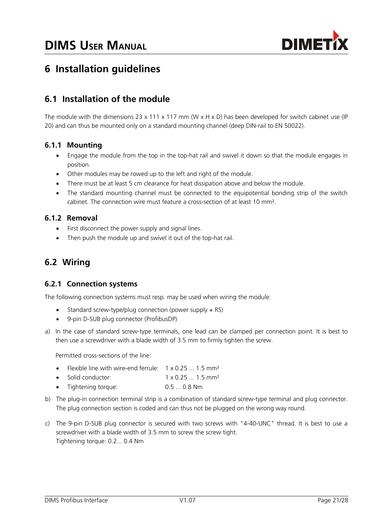

# **6 Installation guidelines**

# **6.1 Installation of the module**

The module with the dimensions 23 x 111 x 117 mm (W x H x D) has been developed for switch cabinet use (IP 20) and can thus be mounted only on a standard mounting channel (deep DIN-rail to EN 50022).

## **6.1.1 Mounting**

- Engage the module from the top in the top-hat rail and swivel it down so that the module engages in position.
- Other modules may be rowed up to the left and right of the module.
- There must be at least 5 cm clearance for heat dissipation above and below the module.
- The standard mounting channel must be connected to the equipotential bonding strip of the switch cabinet. The connection wire must feature a cross-section of at least 10 mm².

### **6.1.2 Removal**

- First disconnect the power supply and signal lines.
- Then push the module up and swivel it out of the top-hat rail.

# **6.2 Wiring**

#### **6.2.1 Connection systems**

The following connection systems must resp. may be used when wiring the module:

- Standard screw-type/plug connection (power supply + RS)
- 9-pin D-SUB plug connector (ProfibusDP)
- a) In the case of standard screw-type terminals, one lead can be clamped per connection point. It is best to then use a screwdriver with a blade width of 3.5 mm to firmly tighten the screw.

Permitted cross-sections of the line:

- Flexible line with wire-end ferrule: 1 x 0.25 ... 1.5 mm<sup>2</sup>
- $\bullet$  Solid conductor:  $1 \times 0.25... 1.5 \text{ mm}^2$
- Tightening torque: 0.5 ... 0.8 Nm
- b) The plug-in connection terminal strip is a combination of standard screw-type terminal and plug connector. The plug connection section is coded and can thus not be plugged on the wrong way round.
- c) The 9-pin D-SUB plug connector is secured with two screws with "4-40-UNC" thread. It is best to use a screwdriver with a blade width of 3.5 mm to screw the screw tight. Tightening torque: 0.2... 0.4 Nm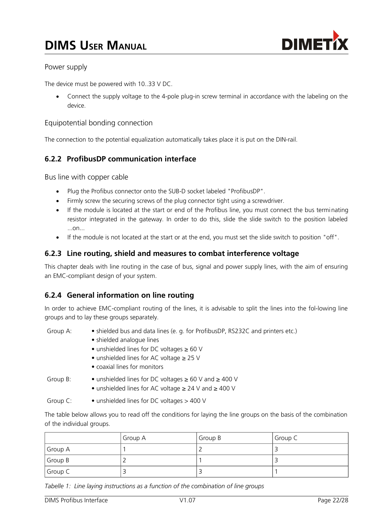

### Power supply

The device must be powered with 10..33 V DC.

 Connect the supply voltage to the 4-pole plug-in screw terminal in accordance with the labeling on the device.

#### Equipotential bonding connection

The connection to the potential equalization automatically takes place it is put on the DIN-rail.

## **6.2.2 ProfibusDP communication interface**

Bus line with copper cable

- Plug the Profibus connector onto the SUB-D socket labeled "ProfibusDP".
- Firmly screw the securing screws of the plug connector tight using a screwdriver.
- If the module is located at the start or end of the Profibus line, you must connect the bus terminating resistor integrated in the gateway. In order to do this, slide the slide switch to the position labeled ...on...
- If the module is not located at the start or at the end, you must set the slide switch to position "off".

### **6.2.3 Line routing, shield and measures to combat interference voltage**

This chapter deals with line routing in the case of bus, signal and power supply lines, with the aim of ensuring an EMC-compliant design of your system.

## **6.2.4 General information on line routing**

In order to achieve EMC-compliant routing of the lines, it is advisable to split the lines into the fol-lowing line groups and to lay these groups separately.

| Group A: | • shielded bus and data lines (e. g. for ProfibusDP, RS232C and printers etc.) |
|----------|--------------------------------------------------------------------------------|
|          | • shielded analogue lines                                                      |
|          | • unshielded lines for DC voltages $\geq 60$ V                                 |
|          | $\bullet$ unshielded lines for AC voltage $\geq$ 25 V                          |
|          | • coaxial lines for monitors                                                   |
| Group B: | • unshielded lines for DC voltages $\geq 60$ V and $\geq 400$ V                |
|          | • unshielded lines for AC voltage $\geq$ 24 V and $\geq$ 400 V                 |

Group C: • unshielded lines for DC voltages > 400 V

The table below allows you to read off the conditions for laying the line groups on the basis of the combination of the individual groups.

|         | Group A | Group B | Group C |
|---------|---------|---------|---------|
| Group A |         |         |         |
| Group B |         |         |         |
| Group C |         |         |         |

*Tabelle 1: Line laying instructions as a function of the combination of line groups*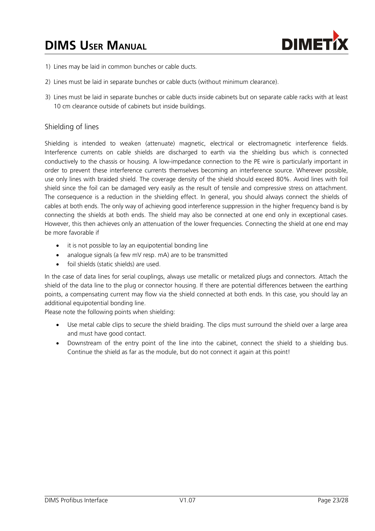

- 1) Lines may be laid in common bunches or cable ducts.
- 2) Lines must be laid in separate bunches or cable ducts (without minimum clearance).
- 3) Lines must be laid in separate bunches or cable ducts inside cabinets but on separate cable racks with at least 10 cm clearance outside of cabinets but inside buildings.

#### Shielding of lines

Shielding is intended to weaken (attenuate) magnetic, electrical or electromagnetic interference fields. Interference currents on cable shields are discharged to earth via the shielding bus which is connected conductively to the chassis or housing. A low-impedance connection to the PE wire is particularly important in order to prevent these interference currents themselves becoming an interference source. Wherever possible, use only lines with braided shield. The coverage density of the shield should exceed 80%. Avoid lines with foil shield since the foil can be damaged very easily as the result of tensile and compressive stress on attachment. The consequence is a reduction in the shielding effect. In general, you should always connect the shields of cables at both ends. The only way of achieving good interference suppression in the higher frequency band is by connecting the shields at both ends. The shield may also be connected at one end only in exceptional cases. However, this then achieves only an attenuation of the lower frequencies. Connecting the shield at one end may be more favorable if

- it is not possible to lay an equipotential bonding line
- analogue signals (a few mV resp. mA) are to be transmitted
- foil shields (static shields) are used.

In the case of data lines for serial couplings, always use metallic or metalized plugs and connectors. Attach the shield of the data line to the plug or connector housing. If there are potential differences between the earthing points, a compensating current may flow via the shield connected at both ends. In this case, you should lay an additional equipotential bonding line.

Please note the following points when shielding:

- Use metal cable clips to secure the shield braiding. The clips must surround the shield over a large area and must have good contact.
- Downstream of the entry point of the line into the cabinet, connect the shield to a shielding bus. Continue the shield as far as the module, but do not connect it again at this point!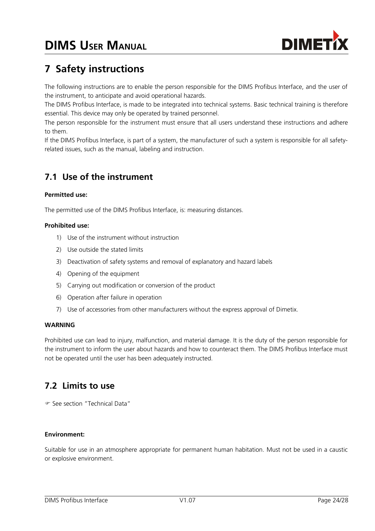

# **7 Safety instructions**

The following instructions are to enable the person responsible for the DIMS Profibus Interface, and the user of the instrument, to anticipate and avoid operational hazards.

The DIMS Profibus Interface, is made to be integrated into technical systems. Basic technical training is therefore essential. This device may only be operated by trained personnel.

The person responsible for the instrument must ensure that all users understand these instructions and adhere to them.

If the DIMS Profibus Interface, is part of a system, the manufacturer of such a system is responsible for all safetyrelated issues, such as the manual, labeling and instruction.

# **7.1 Use of the instrument**

#### **Permitted use:**

The permitted use of the DIMS Profibus Interface, is: measuring distances.

#### **Prohibited use:**

- 1) Use of the instrument without instruction
- 2) Use outside the stated limits
- 3) Deactivation of safety systems and removal of explanatory and hazard labels
- 4) Opening of the equipment
- 5) Carrying out modification or conversion of the product
- 6) Operation after failure in operation
- 7) Use of accessories from other manufacturers without the express approval of Dimetix.

#### **WARNING**

Prohibited use can lead to injury, malfunction, and material damage. It is the duty of the person responsible for the instrument to inform the user about hazards and how to counteract them. The DIMS Profibus Interface must not be operated until the user has been adequately instructed.

# **7.2 Limits to use**

See section "Technical Data"

#### **Environment:**

Suitable for use in an atmosphere appropriate for permanent human habitation. Must not be used in a caustic or explosive environment.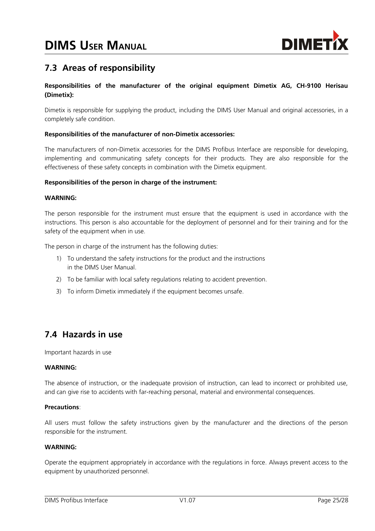

# **7.3 Areas of responsibility**

#### **Responsibilities of the manufacturer of the original equipment Dimetix AG, CH-9100 Herisau (Dimetix):**

Dimetix is responsible for supplying the product, including the DIMS User Manual and original accessories, in a completely safe condition.

#### **Responsibilities of the manufacturer of non-Dimetix accessories:**

The manufacturers of non-Dimetix accessories for the DIMS Profibus Interface are responsible for developing, implementing and communicating safety concepts for their products. They are also responsible for the effectiveness of these safety concepts in combination with the Dimetix equipment.

#### **Responsibilities of the person in charge of the instrument:**

#### **WARNING:**

The person responsible for the instrument must ensure that the equipment is used in accordance with the instructions. This person is also accountable for the deployment of personnel and for their training and for the safety of the equipment when in use.

The person in charge of the instrument has the following duties:

- 1) To understand the safety instructions for the product and the instructions in the DIMS User Manual.
- 2) To be familiar with local safety regulations relating to accident prevention.
- 3) To inform Dimetix immediately if the equipment becomes unsafe.

# **7.4 Hazards in use**

Important hazards in use

#### **WARNING:**

The absence of instruction, or the inadequate provision of instruction, can lead to incorrect or prohibited use, and can give rise to accidents with far-reaching personal, material and environmental consequences.

#### **Precautions**:

All users must follow the safety instructions given by the manufacturer and the directions of the person responsible for the instrument.

#### **WARNING:**

Operate the equipment appropriately in accordance with the regulations in force. Always prevent access to the equipment by unauthorized personnel.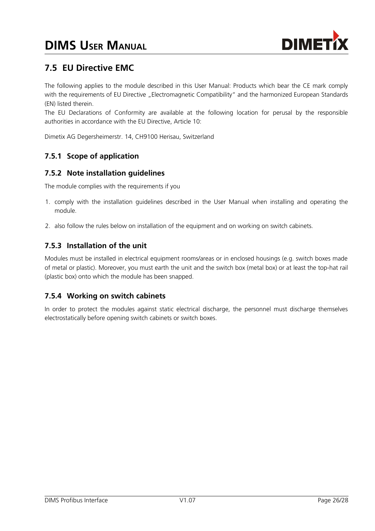

# **7.5 EU Directive EMC**

The following applies to the module described in this User Manual: Products which bear the CE mark comply with the requirements of EU Directive "Electromagnetic Compatibility" and the harmonized European Standards (EN) listed therein.

The EU Declarations of Conformity are available at the following location for perusal by the responsible authorities in accordance with the EU Directive, Article 10:

Dimetix AG Degersheimerstr. 14, CH9100 Herisau, Switzerland

## **7.5.1 Scope of application**

## **7.5.2 Note installation guidelines**

The module complies with the requirements if you

- 1. comply with the installation guidelines described in the User Manual when installing and operating the module.
- 2. also follow the rules below on installation of the equipment and on working on switch cabinets.

## **7.5.3 Installation of the unit**

Modules must be installed in electrical equipment rooms/areas or in enclosed housings (e.g. switch boxes made of metal or plastic). Moreover, you must earth the unit and the switch box (metal box) or at least the top-hat rail (plastic box) onto which the module has been snapped.

### **7.5.4 Working on switch cabinets**

In order to protect the modules against static electrical discharge, the personnel must discharge themselves electrostatically before opening switch cabinets or switch boxes.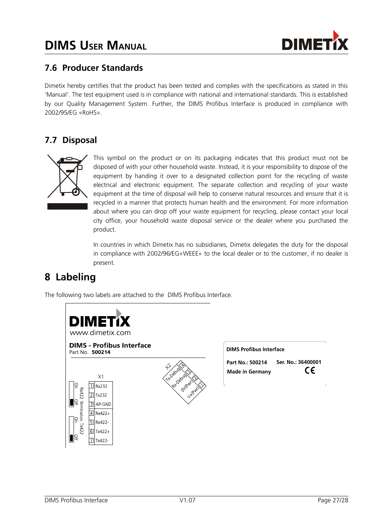

# **7.6 Producer Standards**

Dimetix hereby certifies that the product has been tested and complies with the specifications as stated in this 'Manual'. The test equipment used is in compliance with national and international standards. This is established by our Quality Management System. Further, the DIMS Profibus Interface is produced in compliance with 2002/95/EG «RoHS».

# **7.7 Disposal**



This symbol on the product or on its packaging indicates that this product must not be disposed of with your other household waste. Instead, it is your responsibility to dispose of the equipment by handing it over to a designated collection point for the recycling of waste electrical and electronic equipment. The separate collection and recycling of your waste equipment at the time of disposal will help to conserve natural resources and ensure that it is recycled in a manner that protects human health and the environment. For more information about where you can drop off your waste equipment for recycling, please contact your local city office, your household waste disposal service or the dealer where you purchased the product.

In countries in which Dimetix has no subsidiaries, Dimetix delegates the duty for the disposal in compliance with 2002/96/EG«WEEE» to the local dealer or to the customer, if no dealer is present.

# <span id="page-26-0"></span>**8 Labeling**

The following two labels are attached to the DIMS Profibus Interface.